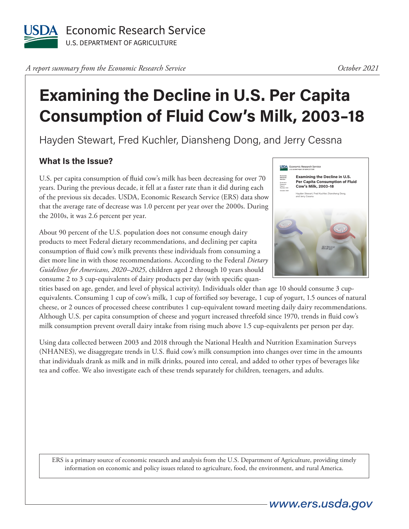

*A report summary from the Economic Research Service* 

#### *October 2021*

# **Examining the Decline in U.S. Per Capita Consumption of Fluid Cow's Milk, 2003–18**

Hayden Stewart, Fred Kuchler, Diansheng Dong, and Jerry Cessna

## **What Is the Issue?**

U.S. per capita consumption of fluid cow's milk has been decreasing for over 70 years. During the previous decade, it fell at a faster rate than it did during each of the previous six decades. USDA, Economic Research Service (ERS) data show that the average rate of decrease was 1.0 percent per year over the 2000s. During the 2010s, it was 2.6 percent per year.

About 90 percent of the U.S. population does not consume enough dairy products to meet Federal dietary recommendations, and declining per capita consumption of fluid cow's milk prevents these individuals from consuming a diet more line in with those recommendations. According to the Federal *Dietary Guidelines for Americans, 2020–2025*, children aged 2 through 10 years should consume 2 to 3 cup-equivalents of dairy products per day (with specific quan-

tities based on age, gender, and level of physical activity). Individuals older than age 10 should consume 3 cupequivalents. Consuming 1 cup of cow's milk, 1 cup of fortified soy beverage, 1 cup of yogurt, 1.5 ounces of natural cheese, or 2 ounces of processed cheese contributes 1 cup-equivalent toward meeting daily dairy recommendations. Although U.S. per capita consumption of cheese and yogurt increased threefold since 1970, trends in fluid cow's milk consumption prevent overall dairy intake from rising much above 1.5 cup-equivalents per person per day.

Using data collected between 2003 and 2018 through the National Health and Nutrition Examination Surveys (NHANES), we disaggregate trends in U.S. fluid cow's milk consumption into changes over time in the amounts that individuals drank as milk and in milk drinks, poured into cereal, and added to other types of beverages like tea and coffee. We also investigate each of these trends separately for children, teenagers, and adults.

ERS is a primary source of economic research and analysis from the U.S. Department of Agriculture, providing timely information on economic and policy issues related to agriculture, food, the environment, and rural America.